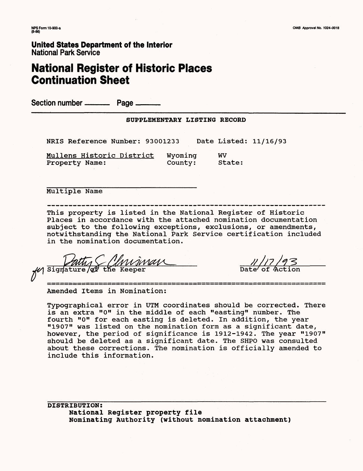## **National Register of Historic Places Continuation Sheet**

Section number ——— Page ———

#### **SUPPLEMENTARY LISTING RECORD**

NRIS Reference Number: 93001233 Date Listed: 11/16/93

Mullens Historic District Wyoming WV Property Name: County: State:

Multiple Name

This property is listed in the National Register of Historic Places in accordance with the attached nomination documentation subject to the following exceptions, exclusions, or amendments, notwithstanding the National Park Service certification included in the nomination documentation.

 $\mathscr U$  Signature/ $\mathscr C$  the Keeper

Amended Items in Nomination:

Typographical error in UTM coordinates should be corrected. There is an extra "0" in the middle of each "easting" number. The fourth "0" for each easting is deleted. In addition, the year "1907" was listed on the nomination form as a significant date, however, the period of significance is 1912-1942. The year "1907" should be deleted as a significant date. The SHPO was consulted about these corrections. The nomination is officially amended to include this information.

**DISTRIBUTION: National Register property file Nominating Authority (without nomination attachment)**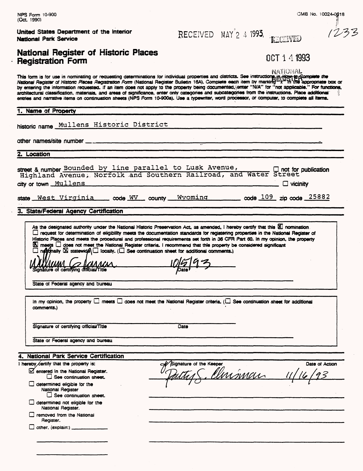NPS Form 10-900 CMB No. 10024-0018

1233

|  | United States Department of the Interior |  |  |
|--|------------------------------------------|--|--|
|  | National Park Service                    |  |  |

## National Register of Historic Places Registration Form  $14.1993$

**RECEIVED MAY<sup>'</sup>2 4 1993. RECEIVED** 

| NATIONAL |  |
|----------|--|
|          |  |

NATIONAL<br>This form is for use in nominating or requesting determinations for individual properties and districts. See instructione, in How a Somplete the National Register of Historic Places Registration Form (National Register Bulletin 16A). Complete each item by marking  $\mathbb{Z}^{\times}$  in the appropriate box or by entering the information requested. If an item does not apply to the property being documented, enter "N/A" for "not applicable." For functions. architectural classification, materials, and areas of significance, enter only categories and subcategories from the instructions. Place additional entries and narrative items on continuation sheets (NPS Form I0-900a). Use a typewriter, word processor, or computer, to complete all items.

#### 1. Name of Property

**historic name** Mullens Historic District \_\_\_\_\_\_\_\_\_\_\_\_\_\_\_\_\_\_\_\_

other names/site number

**2. Location**

| street & number Bounded by line parallel to Lusk Avenue, |  |  |  |  |  |                                                                                                                                                   |
|----------------------------------------------------------|--|--|--|--|--|---------------------------------------------------------------------------------------------------------------------------------------------------|
|                                                          |  |  |  |  |  | sueet & number <u>Pounded by this paralist to husk avenue</u> , and Water Street dightand Avenue, Norfolk and Southern Railroad, and Water Street |
| city or town <u>Mullens</u>                              |  |  |  |  |  | $\Box$ vicinity                                                                                                                                   |

|  | state West Virginia code WV county Wyoming code 109 zip code 25882 |  |  |  |  |  |  |  |
|--|--------------------------------------------------------------------|--|--|--|--|--|--|--|
|--|--------------------------------------------------------------------|--|--|--|--|--|--|--|

3. State/Federal Agency Certification

As the designated authority under the National Historic Preservation Act, as amended, I hereby certify that this  $\Xi$  nomination  $\Box$  request for determination of eligibility meets the documentation standards for registering properties in the National Register of Historic Places and meets the procedural and professional requirements set forth in 36 CFR Part 60. In my opinion, the property **EX meets C does not meet the National Register criteria. I recommend that this property be considered significant** dnS laity IS statewidyeAD locally. (Q See continuation sheet for additional comments.) MM fc? IsAAA/AA . lf)l#l\*l, ^

Signs <u> Xuu</u> ture of certifying dfticiai/titie yDatef \* ^

State of Federal agency and bureau

In my opinion, the property  $\Box$  meets  $\Box$  does not meet the National Register criteria. ( $\Box$  See continuation sheet for additional comments.)

Signature of certifying official/Title Date

State or Federal agency and bureau

#### 4. National Park Service Certification

| I hereby certify that the property is:                                             | <b>// Signature of the Keeper</b> | Date of Action |
|------------------------------------------------------------------------------------|-----------------------------------|----------------|
| G entered in the National Register.<br>$\square$ See continuation sheet.           | Imman                             | QZ             |
| determined eligible for the<br>National Register<br>$\Box$ See continuation sheet. |                                   |                |
| determined not eligible for the<br>National Register.                              |                                   |                |
| removed from the National<br>Register.                                             |                                   |                |
| other, (explain:)                                                                  |                                   |                |
|                                                                                    |                                   |                |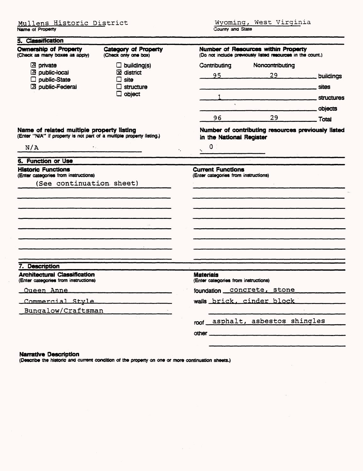| <b>Ownership of Property</b><br>(Check as many boxes as apply)                                                     | <b>Category of Property</b><br>(Check only one box) | <b>Number of Resources within Property</b><br>(Do not include previously listed resources in the count.) |  |  |  |  |  |
|--------------------------------------------------------------------------------------------------------------------|-----------------------------------------------------|----------------------------------------------------------------------------------------------------------|--|--|--|--|--|
| $2$ private                                                                                                        | $\Box$ building(s)                                  | Noncontributing<br>Contributing                                                                          |  |  |  |  |  |
| 2 public-local<br>public-State                                                                                     | $\boxtimes$ district<br>$\Box$ site                 | $29 \overline{29}$<br>95<br>buildings                                                                    |  |  |  |  |  |
| 2 public-Federal                                                                                                   | $\Box$ structure                                    | <b>sites</b>                                                                                             |  |  |  |  |  |
|                                                                                                                    | $\square$ object                                    | <b>structures</b>                                                                                        |  |  |  |  |  |
|                                                                                                                    |                                                     | objects                                                                                                  |  |  |  |  |  |
|                                                                                                                    |                                                     | 29<br>96<br>. Total                                                                                      |  |  |  |  |  |
| Name of related multiple property listing<br>(Enter "N/A" if property is not part of a multiple property listing.) |                                                     | Number of contributing resources previously listed<br>in the National Register<br>$\mathbf{O}$           |  |  |  |  |  |
| N/A<br>$\sim 20\,$ km $^{-1}$                                                                                      |                                                     | ×.                                                                                                       |  |  |  |  |  |
| 6. Function or Use                                                                                                 |                                                     |                                                                                                          |  |  |  |  |  |
| <b>Historic Functions</b><br>(Enter categories from instructions)<br>(See continuation sheet)                      |                                                     | <b>Current Functions</b><br>(Enter categories from instructions)                                         |  |  |  |  |  |
|                                                                                                                    |                                                     |                                                                                                          |  |  |  |  |  |
| 7. Description                                                                                                     |                                                     |                                                                                                          |  |  |  |  |  |
| <b>Architectural Classification</b><br>(Enter categories from instructions)                                        |                                                     | <b>Materials</b><br>(Enter categories from instructions)                                                 |  |  |  |  |  |
| Oueen Anne                                                                                                         |                                                     | foundation concrete, stone                                                                               |  |  |  |  |  |
| Commercial Style                                                                                                   |                                                     | wails brick, cinder block                                                                                |  |  |  |  |  |
| Bungalow/Craftsman                                                                                                 |                                                     |                                                                                                          |  |  |  |  |  |
|                                                                                                                    |                                                     | roof asphalt, asbestos shingles                                                                          |  |  |  |  |  |
|                                                                                                                    |                                                     |                                                                                                          |  |  |  |  |  |
|                                                                                                                    |                                                     |                                                                                                          |  |  |  |  |  |

#### **Narrative Description**

(Describe the historic and current condition of the property on one or more continuation sheets.)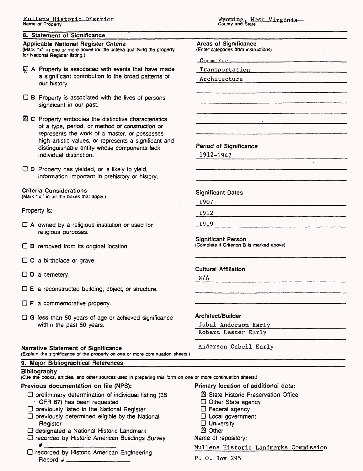#### **8. Statement of Significance**

#### Applicable National Register Criteria

(Mark "x" in one or more boxes for the criteria qualifying the property for National Register listing.)

- $\mathbb Q$  A Property is associated with events that have made a significant contribution to the broad patterns of our history.
- $\Box$  B Property is associated with the lives of persons significant in our past.
- $\boxtimes$  C Property embodies the distinctive characteristics of a type, period, or method of construction or represents the work of a master, or possesses high artistic values, or represents a significant and distinguishable entity whose components lack individual distinction.

 $\Box$  D Property has yielded, or is likely to yield, information important in prehistory or history.

#### Criteria Considerations

(Mark "x" in all the boxes that apply.)

Property is:

- $\Box$  A owned by a religious institution or used for religious purposes.
- $\Box$  B removed from its original location.
- $\Box$  C a birthplace or grave.
- $\square$  D a cemetery.
- $\square$  **E** a reconstructed building, object, or structure.
- $\Box$  **F** a commemorative property.
- $\Box$  G less than 50 years of age or achieved significance within the past 50 years.

#### Narrative Statement of Significance

(Explain the significance of the property on one or more continuation sheets.)

.<br><mark>Wyoming, W</mark><br>County and State

'Areas of Significance (Enter categories from instructions)

**\_T\ OTTYmP f**

Transportation

Architecture

Period of Significance

1912-1942

Significant Dates

1907

1912

1919

Significant Person (Complete if Criterion B is marked above)

Cultural Affiliation

N/A

#### Architect/Builder

Jubal Anderson Early Robert Lester Early

Anderson Cabell Early

#### 9. Major Bibliographical References **Bibilography**

(Cite the books, articles, and other sources used in preparing this form on one or more continuation sheets.)

#### Previous documentation on file (NPS): Primary location of additional data:

- D preliminary determination of individual listing (36 ® State Historic Preservation Office CFR 67) has been requested
- $\square$  previously listed in the National Register
- $\square$  previously determined eligible by the National Register
- D designated a National Historic Landmark
- D recorded by Historic American Buildings Survey
- D recorded by Historic American Engineering Record #\_

- 
- Other State agency
- D Federal agency
- D Local government
- D University
- 29 Other

Name of repository:

Mullens Historic Landmarks Commission

P. 0. Box 295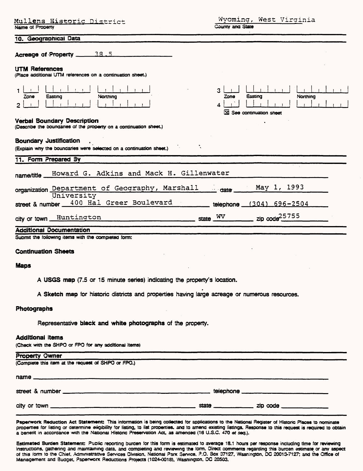| Mullens Historic District                                                                            | Wyoming, West Virginia                                             |
|------------------------------------------------------------------------------------------------------|--------------------------------------------------------------------|
| Name of Property                                                                                     | County and State                                                   |
| 10. Geographical Data                                                                                |                                                                    |
| Acreage of Property 28.5                                                                             |                                                                    |
| <b>UTM References</b><br>(Place additional UTM references on a continuation sheet.)                  |                                                                    |
| Easting<br>Northing<br>Zone<br>$\overline{2}$                                                        | 3<br>Easting<br>Nonthing<br>Zone<br>4<br>XI See continuation sheet |
| Verbal Boundary Description<br>(Describe the boundaries of the property on a continuation sheet.)    |                                                                    |
| <b>Boundary Justification</b><br>(Explain why the boundaries were selected on a continuation sheet.) |                                                                    |
| 11. Form Prepared By                                                                                 |                                                                    |
| Howard G. Adkins and Mack H. Gillenwater<br>name/title_                                              |                                                                    |
| organization Department of Geography, Marshall<br>University                                         | May 1, 1993<br>$\equiv$ date $\equiv$                              |
| street & number 400 Hal Greer Boulevard                                                              | telephone (304) 696-2504                                           |
| city or town Huntington state WV                                                                     |                                                                    |
| <b>Additional Documentation</b>                                                                      |                                                                    |
| Submit the following items with the completed form:                                                  |                                                                    |
| <b>Continuation Sheets</b>                                                                           |                                                                    |
| <b>Maps</b>                                                                                          |                                                                    |
| A USGS map (7.5 or 15 minute series) indicating the property's location                              |                                                                    |
| A Sketch map for historic districts and properties having large acreage or numerous resources.       |                                                                    |
| Photographs                                                                                          |                                                                    |
| Representative black and white photographs of the property.                                          |                                                                    |
| <b>Additional items</b><br>(Check with the SHPO or FPO for any additional items)                     |                                                                    |
| <b>Property Owner</b>                                                                                |                                                                    |
| (Complete this item at the request of SHPO or FPO.)                                                  |                                                                    |

| street & number |       | telephone |
|-----------------|-------|-----------|
| city or town    | state | zip code  |

name\_\_\_\_\_\_\_\_\_\_\_\_\_\_\_\_\_\_\_\_\_\_\_\_\_\_\_\_\_\_\_\_\_\_\_\_\_\_\_\_\_\_\_\_\_\_\_\_

Paperwork Reduction Act Statement: This information is being collected for applications to the National Register of Historic Places to nominate properties for listing or determine eligibility for listing, to list properties, and to amend existing listings. Response to this request is required to obtain a benefit in accordance with the National Historic Preservation Act. as amended (16 U.S.C. 470 at sag.).

Estimated Burden Statement: Puolic reporting burden for this form is estimated to average 18.1 hours per response including time for reviewing instructions, gathering and maintaining data, and completing and reviewing the form. Direct comments regarding this burcen estimate or any aspect of this rorm to the Chief. Administrative Services Division, National Panx Service. P.O. Box 37127, Wasnington, DC 20013-7127; and the Office of Management and Budget, Paperwork Reductions Projects (1024-0018), Wasnington, DC 20503.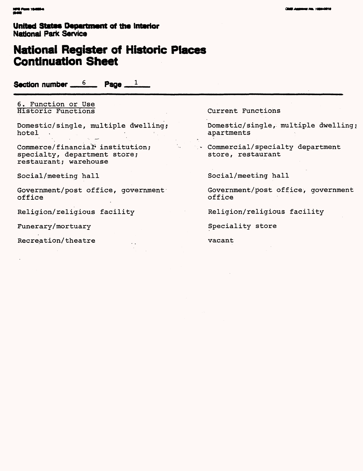## **National Register of Historic Places Continuation Sheet**

Section number  $6 \qquad 6$  Page  $1 \qquad$ 

6. Function or Use Historic Functions

Domestic/single, multiple dwelling; hotel

Commerce/ financial\* institution; specialty, department store; restaurant; warehouse

Social/meeting hall

Government/post office, government office

٠,

Religion/religious facility

Funerary/mortuary

Recreation/theatre

Current Functions

Domestic/single, multiple dwelling; apartments

Commercial/specialty department store, restaurant

Social/meeting hall

Government/post office, government office

Religion/religious facility

Speciality store

vacant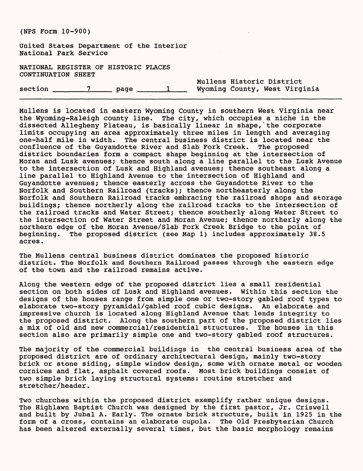United States Department of the Interior National Park Service

NATIONAL REGISTER OF HISTORIC PLACES CONTINUATION SHEET

|         |      |  | Mullens Historic District |                               |
|---------|------|--|---------------------------|-------------------------------|
| section | page |  |                           | Wyoming County, West Virginia |

Mullens is located in eastern Wyoming County in southern West Virginia near the Wyoming-Raleigh county line. The city, which occupies a niche in the dissected Allegheny Plateau, is basically linear in shape, the corporate limits occupying an area approximately three miles in length and averaging one-half mile in width. The central business district is located near the confluence of the Guyandotte River and Slab Fork Creek. The proposed district boundaries form a compact shape beginning at the intersection of Moran and Lusk avenues; thence south along a line parallel to the Lusk Avenue to the intersection of Lusk and Highland avenues; thence southeast along a line parallel to Highland Avenue to the intersection of Highland and Guyandotte avenues; thence easterly across the Guyandotte River to the Norfolk and Southern Railroad (tracks); thence northeasterly along the Norfolk and Southern Railroad tracks embracing the railroad shops and storage buildings; thence northerly along the railroad tracks to the intersection of the railroad tracks and Water Street; thence southerly along Water Street to the intersection of Water Street and Moran Avenue; thence northerly along the northern edge of the Moran Avenue/Slab Fork Creek Bridge to the point of beginning. The proposed district (see Map 1) includes approximately 38.5 acres.

The Mullens central business district dominates the proposed historic district. The Norfolk and Southern Railroad passes through the eastern edge of the town and the railroad remains active.

Along the western edge of the proposed district lies a small residential section on both sides of Lusk and Highland avenues. Within this section the designs of the houses range from simple one or two-story gabled roof types to elaborate two-story pyramidal/gabled roof cubic designs. An elaborate and impressive church is located along Highland Avenue that lends integrity to the proposed district. Along the southern part of the proposed district lies a mix of old and new commercial/residential structures. The houses in this section also are primarily simple one and two-story gabled roof structures.

The majority of the commercial buildings in the central business area of the proposed district are of ordinary architectural design, mainly two-story brick or stone siding, simple window design, some with ornate metal or wooden cornices and flat, asphalt covered roofs. Most brick buildings consist of two simple brick laying structural systems: routine stretcher and stretcher/header.

Two churches within the proposed district exemplify rather unique designs. The Highlawn Baptist Church was designed by the first pastor, Jr. Criswell and built by Jubal A. Early. The ornate brick structure, built in 1925 in the form of a cross, contains an elaborate cupola. The Old Presbyterian Church has been altered externally several times, but the basic morphology remains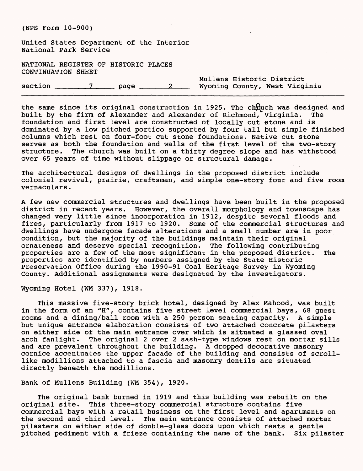United States Department of the Interior National Park Service

NATIONAL REGISTER OF HISTORIC PLACES CONTINUATION SHEET

|         |      |  | Mullens Historic District     |  |
|---------|------|--|-------------------------------|--|
| section | page |  | Wyoming County, West Virginia |  |

the same since its original construction in 1925. The chruch was designed and built by the firm of Alexander and Alexander of Richmond, Virginia. The foundation and first level are constructed of locally cut stone and is dominated by a low pitched portico supported by four tall but simple finished columns which rest on four-foot cut stone foundations. Native cut stone serves as both the foundation and walls of the first level of the two-story structure. The church was built on a thirty degree slope and has withstood over 65 years of time without slippage or structural damage.

The architectural designs of dwellings in the proposed district include colonial revival, prairie, craftsman, and simple one-story four and five room vernaculars.

A few new commercial structures and dwellings have been built in the proposed district in recent years. However, the overall morphology and townscape has changed very little since incorporation in 1912, despite several floods and fires, particularly from 1917 to 1920. Some of the commercial structures and dwellings have undergone facade alterations and a small number are in poor condition, but the majority of the buildings maintain their original ornateness and deserve special recognition. The following contributing properties are a few of the most significant in the proposed district. The properties are identified by numbers assigned by the State Historic Preservation Office during the 1990-91 Coal Heritage Survey in Wyoming County. Additional assignments were designated by the investigators.

Wyoming Hotel (WM 337), 1918.

This massive five-story brick hotel, designed by Alex Mahood, was built in the form of an "H", contains five street level commercial bays, 68 guest rooms and a dining/ball room with a 250 person seating capacity. A simple but unique entrance elaboration consists of two attached concrete pilasters on either side of the main entrance over which is situated a glassed oval arch fanlight. The original 2 over 2 sash-type windows rest on mortar sills and are prevalent throughout the building. A dropped decorative masonry cornice accentuates the upper facade of the building and consists of scrolllike modillions attached to a fascia and masonry dentils are situated directly beneath the modillions.

Bank of Mullens Building (WM 354), 1920.

The original bank burned in 1919 and this building was rebuilt on the original site. This three-story commercial structure contains five commercial bays with a retail business on the first level and apartments on the second and third level. The main entrance consists of attached mortar pilasters on either side of double-glass doors upon which rests a gentle pitched pediment with a frieze containing the name of the bank. Six pilaster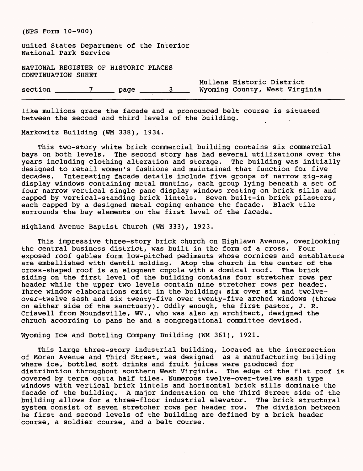United States Department of the Interior National Park Service

NATIONAL REGISTER OF HISTORIC PLACES CONTINUATION SHEET

section \_\_\_\_\_\_7\_\_\_\_ page \_\_\_\_\_3 Wyoming County, West Virginia

Mullens Historic District

like mullions grace the facade and a pronounced belt course is situated between the second and third levels of the building.

Markowitz Building (WM 338), 1934.

This two-story white brick commercial building contains six commercial bays on both levels. The second story has had several utilizations over the years including clothing alteration and storage. The building was initially designed to retail women's fashions and maintained that function for five decades. Interesting facade details include five groups of narrow zig-zag display windows containing metal muntins, each group lying beneath a set of four narrow vertical single pane display windows resting on brick sills and capped by vertical-standing brick lintels. Seven built-in brick pilasters, each capped by a designed metal coping enhance the facade. Black tile surrounds the bay elements on the first level of the facade.

Highland Avenue Baptist Church (WM 333), 1923.

This impressive three-story brick church on Highlawn Avenue, overlooking the central business district, was built in the form of a cross. Four exposed roof gables form low-pitched pediments whose cornices and entablature are embellished with dentil molding. Atop the church in the center of the cross-shaped roof is an eloquent cupola with a domical roof. The brick siding on the first level of the building contains four stretcher rows per header while the upper two levels contain nine stretcher rows per header. Three window elaborations exist in the building: six over six and twelveover-twelve sash and six twenty-five over twenty-five arched windows (three on either side of the sanctuary). Oddly enough, the first pastor, J. R. Criswell from Moundsville, WV., who was also an architect, designed the chruch according to pans he and a congregational committee devised.

Wyoming Ice and Bottling Company Building (WM 361), 1921.

This large three-story industrial building, located at the intersection of Moran Avenue and Third Street, was designed as a manufacturing building where ice, bottled soft drinks and fruit juices were produced for distribution throughout southern West Virginia. The edge of the flat roof is covered by terra cotta half tiles. Numerous twelve-over-twelve sash type windows with vertical brick lintels and horizontal brick sills dominate the facade of the building. A major indentation on the Third Street side of the building allows for a three-floor industrial elevator. The brick structural system consist of seven stretcher rows per header row. The division between he first and second levels of the building are defined by a brick header course, a soldier course, and a belt course.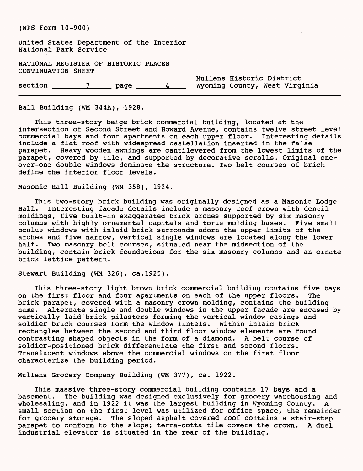United States Department of the Interior National Park Service

NATIONAL REGISTER OF HISTORIC PLACES CONTINUATION SHEET

section \_\_\_\_\_\_7\_\_\_\_ page \_\_\_\_\_4 Wyoming County, West Virginia

Ball Building (WM 344A), 1928.

This three-story beige brick commercial building, located at the intersection of Second Street and Howard Avenue, contains twelve street level commercial bays and four apartments on each upper floor. Interesting details include a flat roof with widespread castellation inserted in the false parapet. Heavy wooden awnings are cantilevered from the lowest limits of the parapet, covered by tile, and supported by decorative scrolls. Original oneover-one double windows dominate the structure. Two belt courses of brick define the interior floor levels.

Mullens Historic District

Masonic Hall Building (WM 358), 1924.

This two-story brick building was originally designed as a Masonic Lodge Hall. Interesting facade details include a masonry roof crown with dentil moldings, five built-in exaggerated brick arches supported by six masonry columns with highly ornamental capitals and torus molding bases. Five small oculus windows with inlaid brick surrounds adorn the upper limits of the arches and five narrow, vertical single windows are located along the lower half. Two masonry belt courses, situated near the midsection of the building, contain brick foundations for the six masonry columns and an ornate brick lattice pattern.

Stewart Building (WM 326), ca.1925).

This three-story light brown brick commercial building contains five bays on the first floor and four apartments on each of the upper floors. The brick parapet, covered with a masonry crown molding, contains the building name. Alternate single and double windows in the upper facade are encased by vertically laid brick pilasters forming the vertical window casings and soldier brick courses form the window lintels. Within inlaid brick rectangles between the second and third floor window elements are found contrasting shaped objects in the form of a diamond. A belt course of soldier-positioned brick differentiate the first and second floors. Translucent windows above the commercial windows on the first floor characterize the building period.

Mullens Grocery Company Building (WM 377), ca. 1922.

This massive three-story commercial building contains 17 bays and a basement. The building was designed exclusively for grocery warehousing and wholesaling, and in 1922 it was the largest building in Wyoming County. A small section on the first level was utilized for office space, the remainder for grocery storage. The sloped asphalt covered roof contains a stair-step parapet to conform to the slope; terra-cotta tile covers the crown. A duel industrial elevator is situated in the rear of the building.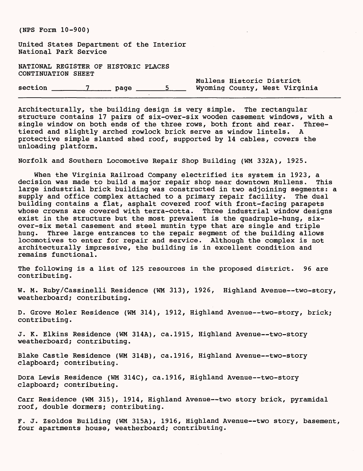United States Department of the Interior National Park Service

NATIONAL REGISTER OF HISTORIC PLACES CONTINUATION SHEET

Mullens Historic District section \_\_\_\_\_\_7\_\_\_\_ page \_\_\_\_\_5 Wyoming County, West Virginia

Architecturally, the building design is very simple. The rectangular structure contains 17 pairs of six-over-six wooden casement windows, with a single window on both ends of the three rows, both front and rear. Threetiered and slightly arched rowlock brick serve as window lintels. A protective simple slanted shed roof, supported by 14 cables, covers the unloading platform.

Norfolk and Southern Locomotive Repair Shop Building (WM 332A), 1925.

When the Virginia Railroad Company electrified its system in 1923, a decision was made to build a major repair shop near downtown Mullens. This large industrial brick building was constructed in two adjoining segments: a supply and office complex attached to a primary repair facility. The dual building contains a flat, asphalt covered roof with front-facing parapets whose crowns are covered with terra-cotta. Three industrial window designs exist in the structure but the most prevalent is the quadruple-hung, sixover-six metal casement and steel muntin type that are single and triple hung. Three large entrances to the repair segment of the building allows locomotives to enter for repair and service. Although the complex is not architecturally impressive, the building is in excellent condition and remains functional.

The following is a list of 125 resources in the proposed district. 96 are contributing.

W. M. Ruby/Cassinelli Residence (WM 313), 1926, Highland Avenue--two-story, weatherboard; contributing.

D. Grove Moler Residence (WM 314), 1912, Highland Avenue--two-story, brick; contributing.

J. K. Elkins Residence (WM 314A), ca.1915, Highland Avenue--two-story weatherboard; contributing.

Blake Castle Residence (WM 314B), ca.1916, Highland Avenue--two-story clapboard; contributing.

Dora Lewis Residence (WM 314C), ca.1916, Highland Avenue--two-story clapboard; contributing.

Carr Residence (WM 315), 1914, Highland Avenue--two story brick, pyramidal roof, double dormers; contributing.

F. J. Zsoldos Building (WM 315A), 1916, Highland Avenue--two story, basement, four apartments house, weatherboard; contributing.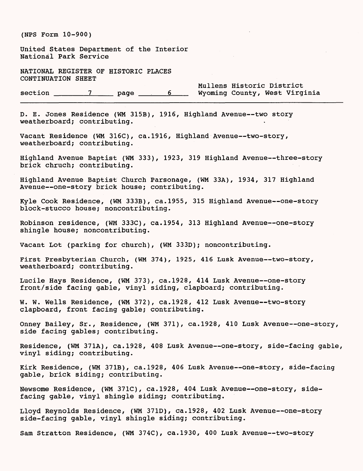United States Department of the Interior National Park Service

NATIONAL REGISTER OF HISTORIC PLACES CONTINUATION SHEET

Mullens Historic District<br>Wyoming County, West Virginia  $section$   $7$  page 6

D. E. Jones Residence (WM 315B), 1916, Highland Avenue--two story weatherboard; contributing.

Vacant Residence (WM 316C), ca.1916, Highland Avenue--two-story, weatherboard; contributing.

Highland Avenue Baptist (WM 333), 1923, 319 Highland Avenue--three-story brick chruch; contributing.

Highland Avenue Baptist Church Parsonage, (WM 33A), 1934, 317 Highland Avenue--one-story brick house; contributing.

Kyle Cook Residence, (WM 333B), ca.1955, 315 Highland Avenue--one-story block-stucco house; noncontributing.

Robinson residence, (WM 333C), ca.1954, 313 Highland Avenue--one-story shingle house; noncontributing.

Vacant Lot (parking for church), (WM 333D); noncontributing.

First Presbyterian Church, (WM 374), 1925, 416 Lusk Avenue--two-story, weatherboard; contributing.

Lucile Hays Residence, (WM 373), ca.1928, 414 Lusk Avenue--one-story front/side facing gable, vinyl siding, clapboard; contributing.

W. W. Wells Residence, (WM 372), ca.1928, 412 Lusk Avenue--two-story clapboard, front facing gable; contributing.

Onney Bailey, Sr., Residence, (WM 371), ca.1928, 410 Lusk Avenue--one-story, side facing gables; contributing.

Residence, (WM 371A), ca.1928, 408 Lusk Avenue--one-story, side-facing gable, vinyl siding; contributing.

Kirk Residence, (WM 371B), ca.1928, 406 Lusk Avenue--one-story, side-facing gable, brick siding; contributing.

Newsome Residence, (WM 371C), ca.1928, 404 Lusk Avenue--one-story, sidefacing gable, vinyl shingle siding; contributing.

Lloyd Reynolds Residence, (WM 371D), ca.1928, 402 Lusk Avenue--one-story side-facing gable, vinyl shingle siding; contributing.

Sam Stratton Residence, (WM 374C), ca.1930, 400 Lusk Avenue--two-story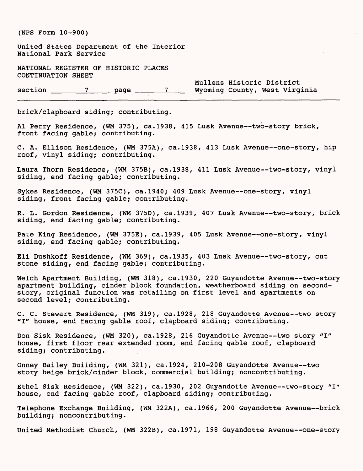United States Department of the interior National Park Service

NATIONAL REGISTER OF HISTORIC PLACES CONTINUATION SHEET

Mullens Historic District section \_\_\_\_\_\_\_\_\_\_\_\_\_\_\_\_\_\_\_ page \_\_\_\_\_\_\_\_\_\_\_\_\_\_\_\_\_ Wyoming County, West Virginia

brick/clapboard siding; contributing.

Al Perry Residence, (WM 375), ca.1938, 415 Lusk Avenue--two-story brick, front facing gable; contributing.

C. A. Ellison Residence, (WM 375A), ca.1938, 413 Lusk Avenue--one-story, hip roof, vinyl siding; contributing.

Laura Thorn Residence, (WM 375B), ca.1938, 411 Lusk Avenue--two-story, vinyl siding, end facing gable; contributing.

Sykes Residence, (WM 375C), ca.1940; 409 Lusk Avenue--one-story, vinyl siding, front facing gable; contributing.

R. L. Gordon Residence, (WM 375D), ca.1939, 407 Lusk Avenue--two-story, brick siding, end facing gable; contributing.

Pate King Residence, (WM 375E), ca.1939, 405 Lusk Avenue--one-story, vinyl siding, end facing gable; contributing.

Eli Dushkoff Residence, (WM 369), ca.1935, 403 Lusk Avenue--two-story, cut stone siding, end facing gable; contributing.

Welch Apartment Building, (WM 318), ca.1930, 220 Guyandotte Avenue--two-story apartment building, cinder block foundation, weatherboard siding on secondstory, original function was retailing on first level and apartments on second level; contributing.

C. C. Stewart Residence, (WM 319), ca.1928, 218 Guyandotte Avenue--two story "I" house, end facing gable roof, clapboard siding; contributing.

Don Sisk Residence, (WM 320), ca.1928, 216 Guyandotte Avenue--two story "I" house, first floor rear extended room, end facing gable roof, clapboard siding; contributing.

Onney Bailey Building, (WM 321), ca.1924, 210-208 Guyandotte Avenue--two story beige brick/cinder block, commercial building; noncontributing.

Ethel Sisk Residence, (WM 322), ca.1930, 202 Guyandotte Avenue--two-story "I" house, end facing gable roof, clapboard siding; contributing.

Telephone Exchange Building, (WM 322A), ca.1966, 200 Guyandotte Avenue--brick building; noncontributing.

United Methodist Church, (WM 322B), ca.1971, 198 Guyandotte Avenue--one-story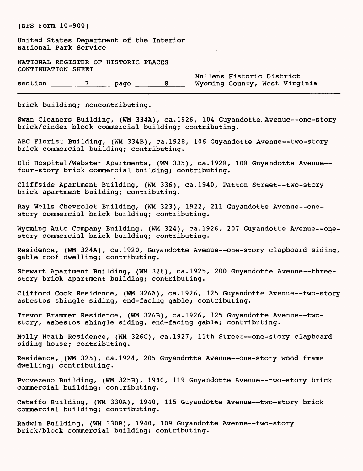United States Department of the Interior National Park Service

NATIONAL REGISTER OF HISTORIC PLACES CONTINUATION SHEET

 $\text{section}$   $\frac{7}{2}$  page  $\frac{8}{2}$ 

Mullens Historic District<br>Wyoming County, West Virginia

brick building; noncontributing.

Swan Cleaners Building, (WM 334A), ca.1926, 104 Guyandotte. Avenue--one-story brick/cinder block commercial building; contributing.

ABC Florist Building, (WM 334B), ca.1928, 106 Guyandotte Avenue--two-story brick commercial building; contributing.

Old Hospital/Webster Apartments, (WM 335), ca.1928, 108 Guyandotte Avenue four-story brick commercial building; contributing.

Cliffside Apartment Building, (WM 336), ca.1940, Patton Street--two-story brick apartment building; contributing.

Ray Wells Chevrolet Building, (WM 323), 1922, 211 Guyandotte Avenue--onestory commercial brick building; contributing.

Wyoming Auto Company Building, (WM 324), ca.1926, 207 Guyandotte Avenue--onestory commercial brick building; contributing.

Residence, (WM 324A), ca.1920, Guyandotte Avenue--one-story clapboard siding, gable roof dwelling; contributing.

Stewart Apartment Building, (WM 326), ca.1925, 200 Guyandotte Avenue--threestory brick apartment building; contributing.

Clifford Cook Residence, (WM 326A), ca.1926, 125 Guyandotte Avenue--two-story asbestos shingle siding, end-facing gable; contributing.

Trevor Brammer Residence, (WM 326B), ca.1926, 125 Guyandotte Avenue--twostory, asbestos shingle siding, end-facing gable; contributing.

Molly Heath Residence, (WM 326C), ca.1927, 11th Street--one-story clapboard siding house; contributing.

Residence, (WM 325), ca.1924, 205 Guyandotte Avenue--one-story wood frame dwelling; contributing.

Pvovezeno Building, (WM 325B), 1940, 119 Guyandotte Avenue--two-story brick commercial building; contributing.

Cataffo Building, (WM 330A), 1940, 115 Guyandotte Avenue--two-story brick commercial building; contributing.

Radwin Building, (WM 330B), 1940, 109 Guyandotte Avenue--two-story brick/block commercial building; contributing.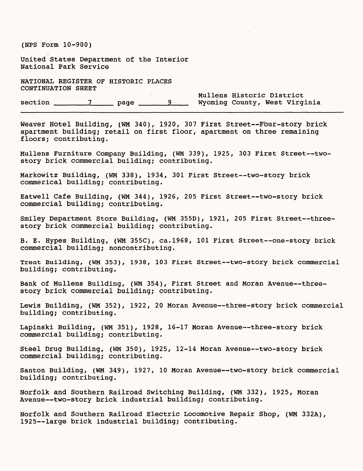United States Department of the Interior National Park Service

NATIONAL REGISTER OF HISTORIC PLACES CONTINUATION SHEET

Mullens Historic District section \_\_\_\_\_\_\_\_\_\_\_\_\_\_\_\_\_\_\_\_ page \_\_\_\_\_\_\_\_\_\_\_\_\_\_\_ Wyoming County, West Virginia

Weaver Hotel Building, (WM 340), 1920, 307 First Street--Four-story brick apartment building; retail on first floor, apartment on three remaining floors; contributing.

Mullens Furniture Company Building, (WM 339), 1925, 303 First Street--twostory brick commercial building; contributing.

Markowitz Building, (WM 338), 1934, 301 First Street--two-story brick commerical building; contributing.

Eatwell Cafe Building, (WM 344), 1926, 205 First Street--two-story brick commercial building; contributing.

Smiley Department Store Building, (WM 355D), 1921, 205 First Street--threestory brick commercial building; contributing.

B. E. Hypes Building, (WM 355C), ca.1968, 101 First Street--one-story brick commercial building; noncontributing.

Trent Building, (WM 353), 1938, 103 First Street--two-story brick commercial building; contributing.

Bank of Mullens Building, (WM 354), First Street and Moran Avenue--threestory brick commercial building; contributing.

Lewis Building, (WM 352), 1922, 20 Moran Avenue--three-story brick commercial building; contributing.

Lapinski Building, (WM 351), 1928, 16-17 Moran Avenue--three-story brick commercial building; contributing.

Steel Drug Building, (WM 350), 1925, 12-14 Moran Avenue--two-story brick commercial building; contributing.

Santon Building, (WM 349), 1927, 10 Moran Avenue--two-story brick commercial building; contributing.

Norfolk and Southern Railroad Switching Building, (WM 332), 1925, Moran Avenue--two-story brick industrial building; contributing.

Norfolk and Southern Railroad Electric Locomotive Repair Shop, (WM 332A), 1925 -- large brick industrial building; contributing.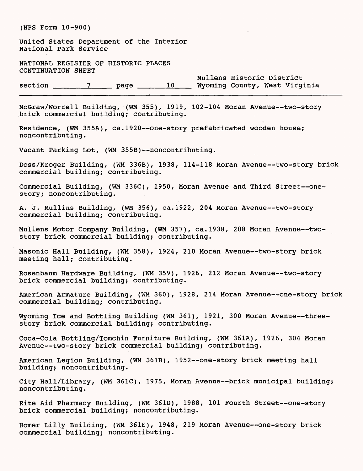United States Department of the Interior National Park Service

NATIONAL REGISTER OF HISTORIC PLACES CONTINUATION SHEET

Mullens Historic District section \_\_\_\_\_\_7\_\_\_\_ page \_\_\_\_\_10\_\_\_ Wyoming County, West Virginia

McGraw/Worrell Building, (WM 355), 1919, 102-104 Moran Avenue--two-story brick commercial building; contributing.

Residence, (WM 355A), ca.1920--one-story prefabricated wooden house; noncontributing.

Vacant Parking Lot, (WM 355B) -- noncontributing.

Doss/Kroger Building, (WM 336B), 1938, 114-118 Moran Avenue--two-story brick commercial building; contributing.

Commercial Building, (WM 336C), 1950, Moran Avenue and Third Street--onestory; noncontributing.

A. J. Mullins Building, (WM 356), ca.1922, 204 Moran Avenue--two-story commercial building; contributing.

Mullens Motor Company Building, (WM 357), ca.1938, 208 Moran Avenue--twostory brick commercial building; contributing.

Masonic Hall Building, (WM 358), 1924, 210 Moran Avenue--two-story brick meeting hall; contributing.

Rosenbaum Hardware Building, (WM 359), 1926, 212 Moran Avenue--two-story brick commercial building; contributing.

American Armature Building, (WM 360), 1928, 214 Moran Avenue--one-story brick commercial building; contributing.

Wyoming Ice and Bottling Building (WM 361), 1921, 300 Moran Avenue--threestory brick commercial building; contributing.

Coca-Cola Bottling/Tomchin Furniture Building, (WM 361A), 1926, 304 Moran Avenue--two-story brick commercial building; contributing.

American Legion Building, (WM 361B), 1952--one-story brick meeting hall building; noncontributing.

City Hall/Library, (WM 361C), 1975, Moran Avenue--brick municipal building; noncontributing.

Rite Aid Pharmacy Building, (WM 361D), 1988, 101 Fourth Street--one-story brick commercial building; noncontributing.

Homer Lilly Building, (WM 361E), 1948, 219 Moran Avenue--one-story brick commercial building; noncontributing.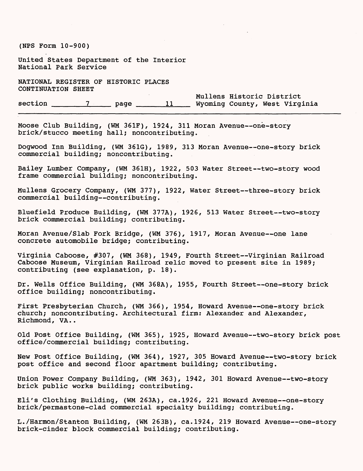(NFS Form 10-900) United States Department of the Interior National Park Service NATIONAL REGISTER OF HISTORIC PLACES CONTINUATION SHEET Mullens Historic District section \_\_\_\_\_\_7\_\_\_\_ page \_\_\_\_\_11 Wyoming County, West Virginia Moose Club Building, (WM 361F), 1924, 311 Moran Avenue--one-story brick/stucco meeting hall; noncontributing. Dogwood Inn Building, (WM 361G), 1989, 313 Moran Avenue--one-story brick commercial building; noncontributing. Bailey Lumber Company, (WM 361H), 1922, 503 Water Street--two-story wood frame commercial building; noncontributing. Mullens Grocery Company, (WM 377), 1922, Water Street--three-story brick commercial building -- contributing. Bluefield Produce Building, (WM 377A), 1926, 513 Water Street--two-story brick commercial building; contributing. Moran Avenue/Slab Fork Bridge, (WM 376), 1917, Moran Avenue--one lane concrete automobile bridge; contributing. Virginia Caboose, #307, (WM 368), 1949, Fourth Street--Virginian Railroad Caboose Museum, Virginian Railroad relic moved to present site in 1989; contributing (see explanation, p. 18). Dr. Wells Office Building, (WM 368A), 1955, Fourth Street--one-story brick office building; noncontributing. First Presbyterian Church, (WM 366), 1954, Howard Avenue--one-story brick church; noncontributing. Architectural firm: Alexander and Alexander, Richmond, VA. . Old Post Office Building, (WM 365), 1925, Howard Avenue--two-story brick post office/commercial building; contributing. New Post Office Building, (WM 364), 1927, 305 Howard Avenue--two-story brick post office and second floor apartment building; contributing. Union Power Company Building, (WM 363), 1942, 301 Howard Avenue--two-story brick public works building; contributing. Eli's Clothing Building, (WM 263A), ca.1926, 221 Howard Avenue--one-story brick/permastone-clad commercial specialty building; contributing. L./Harmon/Stanton Building, (WM 263B), ca.1924, 219 Howard Avenue--one-story brick-cinder block commercial building; contributing.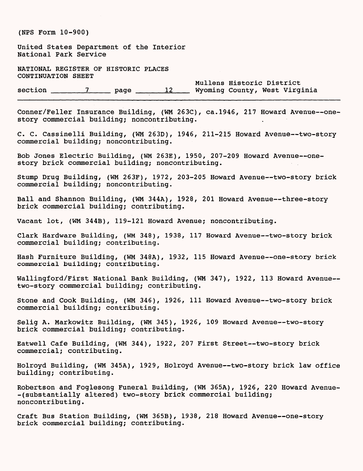United States Department of the Interior National Park Service

NATIONAL REGISTER OF HISTORIC PLACES CONTINUATION SHEET

Mullens Historic District section \_\_\_\_\_\_7\_\_\_\_ page \_\_\_\_\_12 Wyoming County, West Virginia

Conner/Feller Insurance Building, (WM 263C), ca.1946, 217 Howard Avenue--onestory commercial building; noncontributing.

C. C. Cassinelli Building, (WM 263D), 1946, 211-215 Howard Avenue--two-story commercial building; noncontributing.

Bob Jones Electric Building, (WM 263E), 1950, 207-209 Howard Avenue--onestory brick commercial building; noncontributing.

Stump Drug Building, (WM 263F), 1972, 203-205 Howard Avenue--two-story brick commercial building; noncontributing.

Ball and Shannon Building, (WM 344A), 1928, 201 Howard Avenue--three-story brick commercial building; contributing.

Vacant lot, (WM 344B), 119-121 Howard Avenue; noncontributing.

Clark Hardware Building, (WM 348), 1938, 117 Howard Avenue--two-story brick commercial building; contributing.

Hash Furniture Building, (WM 348A), 1932, 115 Howard Avenue--one-story brick commercial building; contributing.

Wallingford/First National Bank Building, (WM 347), 1922, 113 Howard Avenue-two-story commercial building; contributing.

Stone and Cook Building, (WM 346), 1926, 111 Howard Avenue--two-story brick commercial building; contributing.

Selig A. Markowitz Building, (WM 345), 1926, 109 Howard Avenue--two-story brick commercial building; contributing.

Eatwell Cafe Building, (WM 344), 1922, 207 First Street--two-story brick commercial; contributing.

Holroyd Building, (WM 345A), 1929, Holroyd Avenue--two-story brick law office building; contributing.

Robertson and Foglesong Funeral Building, (WM 365A), 1926, 220 Howard Avenue- -(substantially altered) two-story brick commercial building; noncontributing.

Craft Bus Station Building, (WM 365B), 1938, 218 Howard Avenue--one-story brick commercial building; contributing.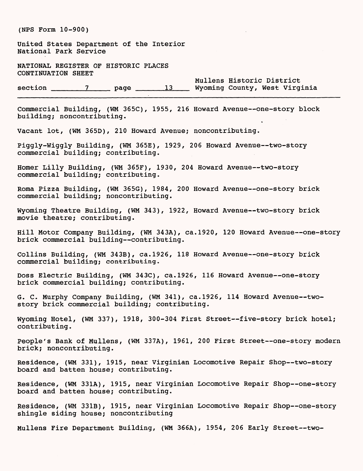| (NPS Form 10-900)                                                                                                           |
|-----------------------------------------------------------------------------------------------------------------------------|
| United States Department of the Interior<br>National Park Service                                                           |
| NATIONAL REGISTER OF HISTORIC PLACES<br>CONTINUATION SHEET                                                                  |
| Mullens Historic District                                                                                                   |
| Commercial Building, (WM 365C), 1955, 216 Howard Avenue--one-story block<br>building; noncontributing.                      |
| Vacant lot, (WM 365D), 210 Howard Avenue; noncontributing.                                                                  |
| Piggly-Wiggly Building, (WM 365E), 1929, 206 Howard Avenue--two-story<br>commercial building; contributing.                 |
| Homer Lilly Building, (WM 365F), 1930, 204 Howard Avenue--two-story<br>commercial building; contributing.                   |
| Roma Pizza Building, (WM 365G), 1984, 200 Howard Avenue--one-story brick<br>commercial building; noncontributing.           |
| Wyoming Theatre Building, (WM 343), 1922, Howard Avenue--two-story brick<br>movie theatre; contributing.                    |
| Hill Motor Company Building, (WM 343A), ca.1920, 120 Howard Avenue--one-story<br>brick commercial building--contributing.   |
| Collins Building, (WM 343B), ca.1926, 118 Howard Avenue--one-story brick<br>commercial building; contributing.              |
| Doss Electric Building, (WM 343C), ca.1926, 116 Howard Avenue--one-story<br>brick commercial building; contributing.        |
| G. C. Murphy Company Building, (WM 341), ca.1926, 114 Howard Avenue--two-<br>story brick commercial building; contributing. |
| Wyoming Hotel, (WM 337), 1918, 300-304 First Street--five-story brick hotel;<br>contributing.                               |
| People's Bank of Mullens, (WM 337A), 1961, 200 First Street--one-story modern<br>brick; noncontributing.                    |
| Residence, (WM 331), 1915, near Virginian Locomotive Repair Shop--two-story<br>board and batten house; contributing.        |
| Residence, (WM 331A), 1915, near Virginian Locomotive Repair Shop--one-story<br>board and batten house; contributing.       |
| Residence, (WM 331B), 1915, near Virginian Locomotive Repair Shop--one-story<br>shingle siding house; noncontributing       |
| Mullens Fire Department Building, (WM 366A), 1954, 206 Early Street--two-                                                   |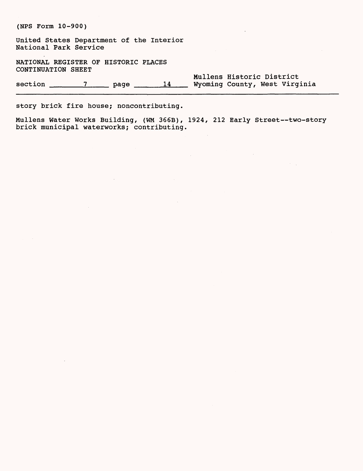United States Department of the Interior National Park Service

NATIONAL REGISTER OF HISTORIC PLACES CONTINUATION SHEET

Mullens Historic District section \_\_\_\_\_\_7\_\_\_\_ page \_\_\_\_\_14 Wyoming County, West Virginia

story brick fire house; noncontributing.

Mullens Water Works Building, (WM 366B), 1924, 212 Early Street--two-story brick municipal waterworks; contributing.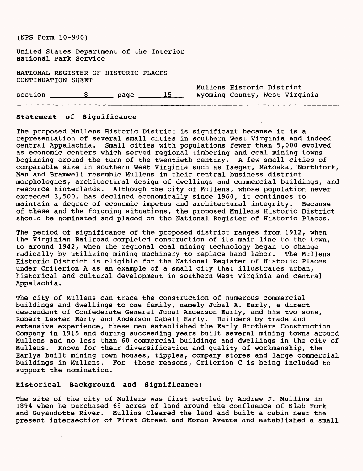United States Department of the Interior National Park Service

NATIONAL REGISTER OF HISTORIC PLACES CONTINUATION SHEET

Mullens Historic District section \_\_\_\_\_\_8\_\_\_\_ page 15 Wyoming County, West Virginia

#### **Statement of Significance**

The proposed Mullens Historic District is significant because it is a representation of several small cities in southern West Virginia and indeed central Appalachia. Small cities with populations fewer than 5,000 evolved as economic centers which served regional timbering and coal mining towns beginning around the turn of the twentieth century. A few small cities of comparable size in southern West Virginia such as laeger, Matoaka, Northfork, Man and Bramwell resemble Mullens in their central business district morphologies, architectural design of dwellings and commercial buildings, and resource hinterlands. Although the city of Mullens, whose population never exceeded 3,500, has declined economically since 1960, it continues to maintain a degree of economic impetus and architectural integrity. Because of these and the forgoing situations, the proposed Mullens Historic District should be nominated and placed on the National Register of Historic Places.

The period of significance of the proposed district ranges from 1912, when the Virginian Railroad completed construction of its main line to the town, to around 1942, when the regional coal mining technology began to change radically by utilizing mining machinery to replace hand labor. The Mullens Historic District is eligible for the National Register of Historic Places under Criterion A as an example of a small city that illustrates urban, historical and cultural development in southern West Virginia and central Appalachia.

The city of Mullens can trace the construction of numerous commercial buildings and dwellings to one family, namely Jubal A. Early, a direct descendant of Confederate General Jubal Anderson Early, and his two sons, Robert Lester Early and Anderson Cabell Early. Builders by trade and extensive experience, these men established the Early Brothers Construction Company in 1915 and during succeeding years built several mining towns around Mullens and no less than 60 commercial buildings and dwellings in the city of Mullens. Known for their diversification and quality of workmanship, the Earlys built mining town houses, tipples, company stores and large commercial buildings in Mullens. For these reasons, Criterion C is being included to support the nomination.

#### **Historical Background and Significance:**

The site of the city of Mullens was first settled by Andrew J. Mullins in 1894 when he purchased 69 acres of land around the confluence of Slab Fork and Guyandotte River. Mullins Cleared the land and built a cabin near the present intersection of First Street and Moran Avenue and established a small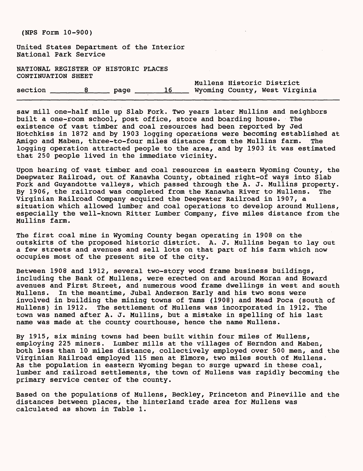United States Department of the Interior National Park Service

NATIONAL REGISTER OF HISTORIC PLACES CONTINUATION SHEET

Mullens Historic District section \_\_\_\_\_\_\_8 \_\_\_\_\_ page \_\_\_\_\_\_16 Wyoming County, West Virginia

saw mill one-half mile up Slab Fork. Two years later Mullins and neighbors built a one-room school, post office, store and boarding house. The existence of vast timber and coal resources had been reported by Jed Hotchkiss in 1872 and by 1903 logging operations were becoming established at Amigo and Maben, three-to-four miles distance from the Mullins farm. The logging operation attracted people to the area, and by 1903 it was estimated that 250 people lived in the immediate vicinity.

Upon hearing of vast timber and coal resources in eastern Wyoming County, the Deepwater Railroad, out of Kanawha County, obtained right-of ways into Slab Fork and Guyandotte valleys, which passed through the A. J. Mullins property. By 1906, the railroad was completed from the Kanawha River to Mullens. The Virginian Railroad Company acquired the Deepwater Railroad in 1907, a situation which allowed lumber and coal operations to develop around Mullens, especially the well-known Ritter Lumber Company, five miles distance from the Mullins farm.

The first coal mine in Wyoming County began operating in 1908 on the outskirts of the proposed historic district. A. J. Mullins began to lay out a few streets and avenues and sell lots on that part of his farm which now occupies most of the present site of the city.

Between 1908 and 1912, several two-story wood frame business buildings, including the Bank of Mullens, were erected on and around Moran and Howard avenues and First Street, and numerous wood frame dwellings in west and south Mullens. In the meantime, Jubal Anderson Early and his two sons were involved in building the mining towns of Tams (1908) and Mead Poca (south of Mullens) in 1912. The settlement of Mullens was incorporated in 1912. The town was named after A. J. Mullins, but a mistake in spelling of his last name was made at the county courthouse, hence the name Mullens.

By 1915, six mining towns had been built within four miles of Mullens, employing 225 miners. Lumber mills at the villages of Herndon and Maben, both less than 10 miles distance, collectively employed over 500 men, and the Virginian Railroad employed 115 men at Elmore, two miles south of Mullens. As the population in eastern Wyoming began to surge upward in these coal, lumber and railroad settlements, the town of Mullens was rapidly becoming the primary service center of the county.

Based on the populations of Mullens, Beckley, Princeton and Pineville and the distances between places, the hinterland trade area for Mullens was calculated as shown in Table 1.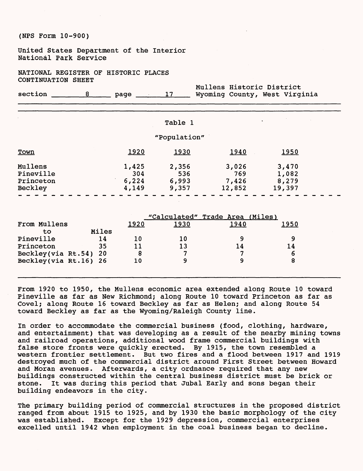United States Department of the Interior National Park Service

NATIONAL REGISTER OF HISTORIC PLACES CONTINUATION SHEET

|  | section | 8 17 Wyoming County, West Virginia |  |  |  |  |  |  |
|--|---------|------------------------------------|--|--|--|--|--|--|
|--|---------|------------------------------------|--|--|--|--|--|--|

| Table |  |
|-------|--|
|       |  |

Mullens Historic District

#### "Population"

| <b>Town</b> | <u> 1920</u> | 1930  | 1940   | <u> 1950 </u> |
|-------------|--------------|-------|--------|---------------|
| Mullens     | 1,425        | 2,356 | 3,026  | 3,470         |
| Pineville   | 304          | 536   | 769    | 1,082         |
| Princeton   | 6,224        | 6,993 | 7,426  | 8,279         |
| Beckley     | 4,149        | 9,357 | 12,852 | 19,397        |

|                       |       |              | "Calculated" Trade Area (Miles) |      |      |
|-----------------------|-------|--------------|---------------------------------|------|------|
| From Mullens          |       | <u> 1920</u> | 1930                            | 1940 | 1950 |
| tο                    | Miles |              |                                 |      |      |
| Pineville             | 14    | 10           | 10                              |      |      |
| Princeton             | 35    | 11           | 13                              | 14   | 14   |
| Beckley(via Rt.54) 20 |       |              |                                 | ∽    |      |
| Beckley(via Rt.16) 26 |       | 10           |                                 |      |      |
|                       |       |              |                                 |      |      |

From 1920 to 1950, the Mullens economic area extended along Route 10 toward Pineville as far as New Richmond; along Route 10 toward Princeton as far as Covel; along Route 16 toward Beckley as far as Helen; and along Route 54 toward Beckley as far as the Wyoming/Raleigh County line.

In order to accommodate the commercial business (food, clothing, hardware, and entertainment) that was developing as a result of the nearby mining towns and railroad operations, additional wood frame commercial buildings with false store fronts were quickly erected. By 1915, the town resembled a western frontier settlement. But two fires and a flood between 1917 and 1919 destroyed much of the commercial district around First Street between Howard and Moran avenues. Afterwards, a city ordnance required that any new buildings constructed within the central business district must be brick or stone. It was during this period that Jubal Early and sons began their building endeavors in the city.

The primary building period of commercial structures in the proposed district ranged from about 1915 to 1925, and by 1930 the basic morphology of the city was established. Except for the 1929 depression, commercial enterprises excelled until 1942 when employment in the coal business began to decline.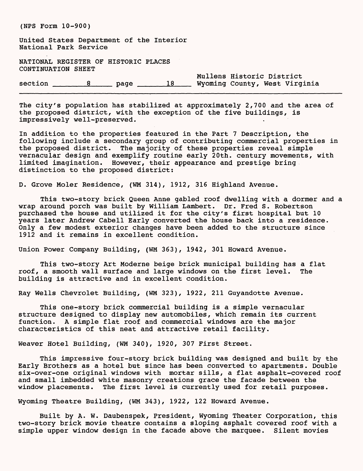(NFS Form 10-900) United States Department of the Interior National Park Service NATIONAL REGISTER OF HISTORIC PLACES CONTINUATION SHEET Mullens Historic District section \_\_\_\_\_\_8\_\_\_\_ page \_\_\_\_\_18 Wyoming County, West Virginia

The city's population has stabilized at approximately 2,700 and the area of the proposed district, with the exception of the five buildings, is impressively well-preserved.

In addition to the properties featured in the Part 7 Description, the following include a secondary group of contributing commercial properties in the proposed district. The majority of these properties reveal simple vernacular design and exemplify routine early 20th. century movements, with limited imagination. However, their appearance and prestige bring distinction to the proposed district:

D. Grove Moler Residence, (WM 314), 1912, 316 Highland Avenue.

This two-story brick Queen Anne gabled roof dwelling with a dormer and a wrap around porch was built by William Lambert. Dr. Fred S. Robertson purchased the house and utilized it for the city's first hospital but 10 years later Andrew Cabell Early converted the house back into a residence. Only a few modest exterior changes have been added to the structure since 1912 and it remains in excellent condition.

Union Power Company Building, (WM 363), 1942, 301 Howard Avenue.

This two-story Art Moderne beige brick municipal building has a flat roof, a smooth wall surface and large windows on the first level. The building is attractive and in excellent condition.

Ray Wells Chevrolet Building, (WM 323), 1922, 211 Guyandotte Avenue.

This one-story brick commercial building is a simple vernacular structure designed to display new automobiles, which remain its current function. A simple flat roof and commercial windows are the major characteristics of this neat and attractive retail facility.

Weaver Hotel Building, (WM 340), 1920, 307 First Street.

This impressive four-story brick building was designed and built by the Early Brothers as a hotel but since has been converted to apartments. Double six-over-one original windows with mortar sills, a flat asphalt-covered roof and small imbedded white masonry creations grace the facade between the window placements. The first level is currently used for retail purposes.

Wyoming Theatre Building, (WM 343), 1922, 122 Howard Avenue.

Built by A. W. Daubenspek, President, Wyoming Theater Corporation, this two-story brick movie theatre contains a sloping asphalt covered roof with a simple upper window design in the facade above the marquee. Silent movies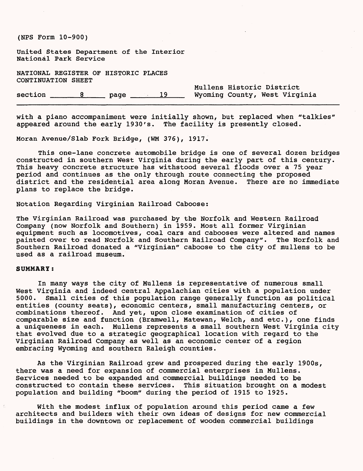United States Department of the Interior National Park Service

NATIONAL REGISTER OF HISTORIC PLACES CONTINUATION SHEET

Mullens Historic District section \_\_\_\_\_\_8 \_\_\_\_\_ page \_\_\_\_\_\_ 19 Wyoming County, West Virginia

with a piano accompaniment were initially shown, but replaced when "talkies" appeared around the early 1930's. The facility is presently closed.

Moran Avenue/Slab Fork Bridge, (WM 376), 1917.

This one-lane concrete automobile bridge is one of several dozen bridges constructed in southern West Virginia during the early part of this century. This heavy concrete structure has withstood several floods over a 75 year period and continues as the only through route connecting the proposed district and the residential area along Moran Avenue. There are no immediate plans to replace the bridge.

Notation Regarding Virginian Railroad Caboose:

The Virginian Railroad was purchased by the Norfolk and Western Railroad Company (now Norfolk and Southern) in 1959. Most all former Virginian equipment such as locomotives, coal cars and cabooses were altered and names painted over to read Norfolk and Southern Railroad Company". The Norfolk and Southern Railroad donated a "Virginian" caboose to the city of mullens to be used as a railroad museum.

#### **SUMMARY:**

In many ways the city of Mullens is representative of numerous small West Virginia and indeed central Appalachian cities with a population under 5000. Small cities of this population range generally function as political entities (county seats), economic centers, small manufacturing centers, or combinations thereof. And yet, upon close examination of cities of comparable size and function (Bramwell, Matewan, Welch, and etc.), one finds a uniqueness in each. Mullens represents a small southern West Virginia city that evolved due to a strategic geographical location with regard to the Virginian Railroad Company as well as an economic center of a region embracing Wyoming and southern Raleigh counties.

As the Virginian Railroad grew and prospered during the early 1900s, there was a need for expansion of commercial enterprises in Mullens. Services needed to be expanded and commercial buildings needed to be constructed to contain these services. This situation brought on a modest population and building "boom" during the period of 1915 to 1925.

With the modest influx of population around this period came a few architects and builders with their own ideas of designs for new commercial buildings in the downtown or replacement of wooden commercial buildings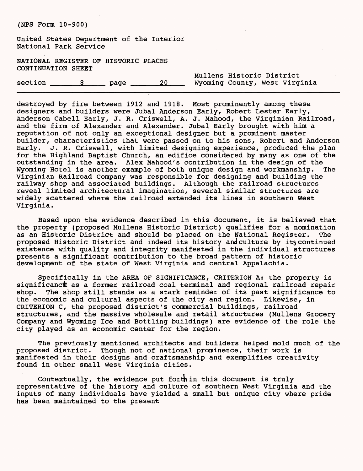United States Department of the Interior National Park Service

NATIONAL REGISTER OF HISTORIC PLACES CONTINUATION SHEET

section \_\_\_\_\_8\_\_\_\_ page \_\_\_\_\_20 Wyoming County, West Virginia

Mullens Historic District

destroyed by fire between 1912 and 1918. Most prominently among these designers and builders were Jubal Anderson Early, Robert Lester Early, Anderson Cabell Early, J. R. Criswell, A. J. Mahood, the Virginian Railroad, and the firm of Alexander and Alexander. Jubal Early brought with him a reputation of not only an exceptional designer but a prominent master builder, characteristics that were passed on to his sons, Robert and Anderson Early. J. R. Criswell, with limited designing experience, produced the plan for the Highland Baptist Church, an edifice considered by many as one of the outstanding in the area. Alex Mahood's contribution in the design of the Wyoming Hotel is another example of both unique design and workmanship. The Virginian Railroad Company was responsible for designing and building the railway shop and associated buildings. Although the railroad structures reveal limited architectural imagination, several similar structures are widely scattered where the railroad extended its lines in southern West Virginia.

Based upon the evidence described in this document, it is believed that the property (proposed Mullens Historic District) qualifies for a nomination as an Historic District and should be placed on the National Register. The proposed Historic District and indeed its history and culture by its continued existence with quality and integrity manifested in the individual structures presents a significant contribution to the broad pattern of historic development of the state of West Virginia and central Appalachia.

Specifically in the AREA OF SIGNIFICANCE, CRITERION A: the property is significanct as a former railroad coal terminal and regional railroad repair shop. The shop still stands as a stark reminder of its past significance to the economic and cultural aspects of the city and region. Likewise, in CRITERION C, the proposed district's commercial buildings, railroad structures, and the massive wholesale and retail structures (Mullens Grocery Company and Wyoming Ice and Bottling buildings) are evidence of the role the city played as an economic center for the region.

The previously mentioned architects and builders helped mold much of the proposed district. Though not of national prominence, their work is manifested in their designs and craftsmanship and exemplifies creativity found in other small West Virginia cities.

Contextually, the evidence put forth in this document is truly representative of the history and culture of southern West Virginia and the inputs of many individuals have yielded a small but unique city where pride has been maintained to the present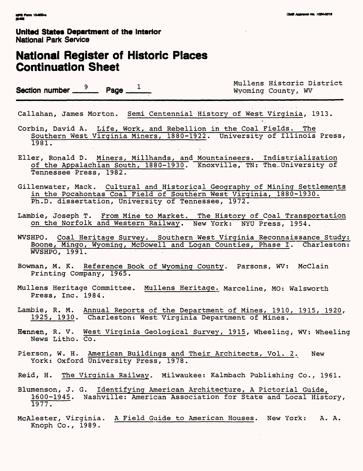## **National Register of Historic Places Continuation Sheet**

**Section number**  $\frac{9}{2}$  **Page**  $\frac{1}{2}$  **Wyoming County, WV** 

q .. Mullens. Historic District

Callahan, James Morton. Semi Centennial History of West Virginia, 1913.

Corbin, David A. Life, Work, and Rebellion in the Coal Fields. The Southern West Virginia Miners, 1880-1922. University of Illinois Press, 1981.

- Eller, Ronald D. Miners, Millhands, and Mountaineers. Indistrialization of the Appalachian South, 1880-1930. Knoxville, TN: The University of Tennessee Press, 1982.
- Gillenwater, Mack. Cultural and Historical Geography of Mining Settlements in the Pocahontas Coal Field of Southern West Virginia, 1880-1930. Ph.D. dissertation, University of Tennessee, 1972.
- Lambie, Joseph T. From Mine to Market. The History of Coal Transportation on the Norfolk and Western Railway. New York: NYU Press, 1954.
- WVSHPO. Coal Heritage Survey. Southern West Virginia Reconnaissance Study; Boone, Mingo, Wyoming, McDowell and Logan Counties, Phase I. Charleston: WVSHPO, 1991.
- Bowman, M. K. Reference Book of Wyoming County. Parsons, WV: McClain Printing Company, 1965.
- Mullens Heritage Committee. Mullens Heritage. Marceline, MO: Walsworth Press, Inc. 1984.
- Lambie, R. M. Annual Reports of the Department of Mines, 1910, 1915, 1920, 1925, 1930. Charleston: West Virginia Department of Mines.
- Hennen, R. V. West Virginia Geological Survey, 1915, Wheeling, WV: Wheeling News Litho. Co.
- Pierson, W. H. American Buildings and Their Architects, Vol. 2. New York: Oxford University Press, 1978.
- Reid, H. The Virginia Railway. Milwaukee: Kalmbach Publishing Co., 1961.
- Blumenson, J. G. Identifying American Architecture, A Pictorial Guide, 1600-1945. Nashville: American Association for State and Local History, 1977.
- McAlester, Virginia. A Field Guide to American Houses. New York: A. A. Knoph Co., 1989.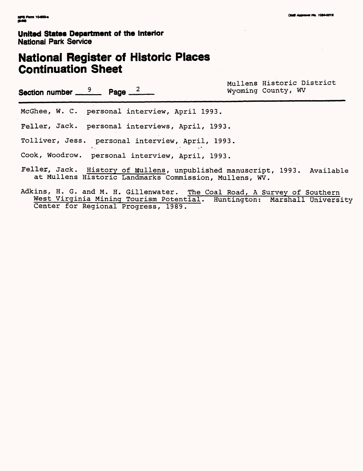# **National Register of Historic Places<br>Continuation Sheet**

| Section number $\frac{9}{2}$ Page $\frac{2}{2}$                                                                                     | Mullens Historic District<br>Wyoming County, WV |
|-------------------------------------------------------------------------------------------------------------------------------------|-------------------------------------------------|
| McGhee, W. C. personal interview, April 1993.                                                                                       |                                                 |
| Feller, Jack. personal interviews, April, 1993.                                                                                     |                                                 |
| Tolliver, Jess. personal interview, April, 1993.                                                                                    |                                                 |
| Cook, Woodrow. personal interview, April, 1993.                                                                                     |                                                 |
| Feller, Jack. History of Mullens, unpublished manuscript, 1993. Available<br>at Mullens Historic Landmarks Commission, Mullens, WV. |                                                 |
| Adkins, H. G. and M. H. Gillenwater. The Coal Road, A Survey of Southern                                                            |                                                 |

West Virginia Mining Tourism Potential. Huntington: Marshall University Center for Regional Progress, 1989.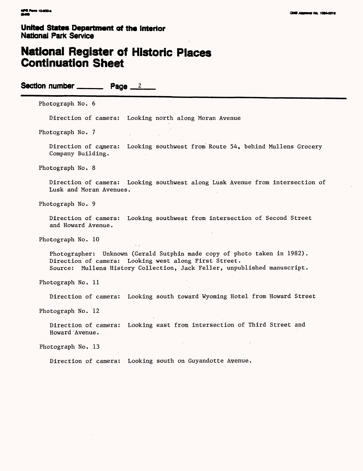## **National Register of Historic Places Continuation Sheet**

Section number  $\frac{2}{2}$ 

Photograph No. 6

Direction of camera: Looking north along Moran Avenue

Photograph No. 7

Direction of camera: Looking southwest from Route 54, behind Mullens Grocery Company Building.

Photograph No. 8

Direction of camera: Looking southwest along Lusk Avenue from intersection of Lusk and Moran Avenues.

Photograph No. 9

Direction of camera: Looking southwest from intersection of Second Street and Howard Avenue.

Photograph No. 10

Photographer: Unknown (Gerald Sutphin made copy of photo taken in 1982). Direction of camera: Looking west along First Street. Source: Mullens History Collection, Jack Feller, unpublished manuscript.

Photograph No. 11

Direction of camera: Looking south toward Wyoming Hotel from Howard Street

Photograph No. 12

Direction of camera: Looking east from intersection of Third Street and Howard 'Avenue.

Photograph No. 13

Direction of camera: Looking south on Guyandotte Avenue.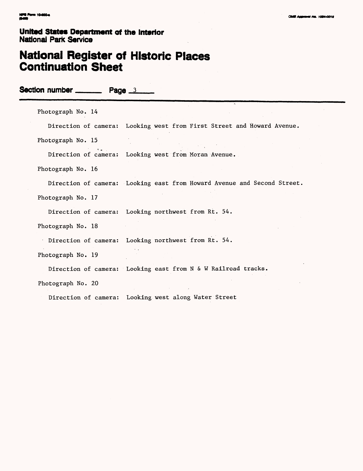## **National Register of Historic Places Continuation Sheet**

**Section number \_\_\_\_\_\_\_\_ Page 3** 

Photograph No. 14

Direction of camera: Looking west from First Street and Howard Avenue.

Photograph No. 15

Direction of camera: Looking west from Moran Avenue.

Photograph No. 16

Direction of camera: Looking east from Howard Avenue and Second Street.

Photograph No. 17

Direction of camera: Looking northwest from Rt. 54.

Photograph No. 18

Direction of camera: Looking northwest from Rt. 54.

Photograph No. 19

Direction of camera: Looking east from N & W Railroad tracks.

Photograph No. 20

Direction of camera: Looking west along Water Street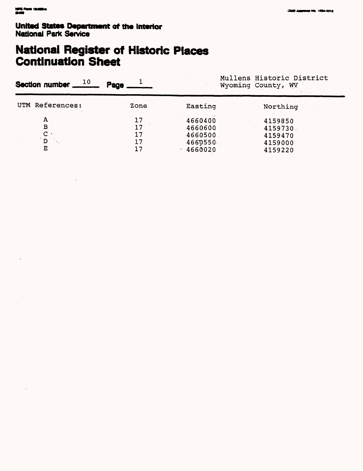# **National Register of Historic Places<br>Continuation Sheet**

|                            | Mullens Historic District<br>Wyoming County, WV     |                                                      |  |
|----------------------------|-----------------------------------------------------|------------------------------------------------------|--|
| Zone                       | Easting                                             | Northing                                             |  |
| 17<br>17<br>17<br>17<br>17 | 4660400<br>4660600<br>4660500<br>4660550<br>4660020 | 4159850<br>4159730.<br>4159470<br>4159000<br>4159220 |  |
|                            | Page                                                |                                                      |  |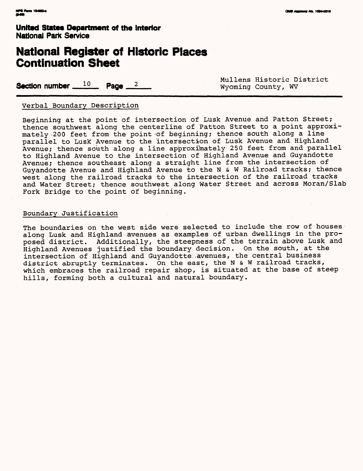## **National Register of Historic Places Continuation Sheet**

**Section number**  $10$  **Page**  $2$   $\ldots$ 

Mullens Historic District<br>Wyoming County, WV

#### Verbal Boundary Description

Beginning at the point of intersection of Lusk Avenue and Patton Street; thence southwest along the centerline of Patton Street to a point approximately -200 feet from the point-of beginning; thence south along a line parallel to Lusk Avenue to the intersection of Lusk Avenue and Highland Avenue; thence south along a line approximately 250 feet from and parallel to Highland Avenue to the intersection of Highland Avenue and Guyandotte Avenue; thence southeast along a straight line from the intersection of Guyandotte Avenue and Highland Avenue to the N & W Railroad tracks; thence west along the railroad tracks to the intersection of the railroad tracks and Water Street; thence southwest along Water Street and across Moran/Slab Fork Bridge to the point of beginning.

#### Boundary Justification

The boundaries on the west side were selected to include the row of houses along Lusk and Highland avenues as examples of urban dwellings in the proposed district. Additionally, the steepness of the terrain above Lusk and Highland Avenues justified the boundary decision. On the south, at the intersection of Highland and Guyandotte avenues, the central business district abruptly terminates. On the east, the N & W railroad tracks, which embraces the railroad repair shop, is situated at the base of steep hills, forming both a cultural and natural boundary.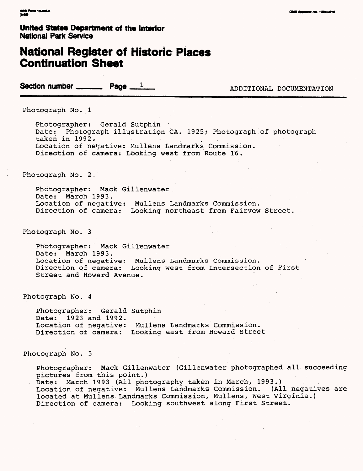## **National Register of Historic Places Continuation Sheet**

**Section number \_\_\_\_\_\_\_ Page**  $\frac{1}{2}$  ADDITIONAL DOCUMENTATION

Photograph No. 1

Photographer: Gerald Sutphin Date: Photograph illustration CA. 1925; Photograph of photograph taken in  $1992.$ Location of negative: Mullens Landmarks Commission. Direction of camera: Looking west from Route 16.

Photograph No. 2

Photographer: Mack Gillenwater Date: March 1993. Location of negative: Mullens Landmarks Commission. Direction of camera: Looking northeast from Fairvew Street.

Photograph No. 3

Photographer: Mack Gillenwater Date: March 1993. Location of negative: Mullens Landmarks Commission. Direction of camera: Looking west from Intersection of First Street and Howard Avenue.

Photograph No.. 4

Photographer: Gerald Sutphin Date: 1923 and 1992. Location of negative: Mullens Landmarks Commission. Direction of camera: Looking east from Howard Street

Photograph No. 5

Photographer: Mack Gillenwater (Gillenwater photographed all succeeding pictures from this point.) Date: March 1993 (All photography taken in March, 1993..) Location of negative: Mullens Landmarks Commission. (All negatives are located at Mullens. Landmarks Commission, Mullens, West Virginia.) Direction of camera: Looking southwest along First Street.